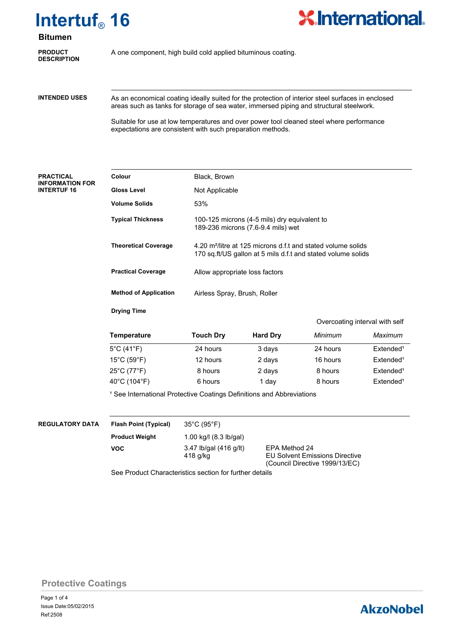

# **Bitumen**

**DESCRIPTION**

**PRODUCT** A one component, high build cold applied bituminous coating.

**INTENDED USES**

As an economical coating ideally suited for the protection of interior steel surfaces in enclosed areas such as tanks for storage of sea water, immersed piping and structural steelwork.

**X** International

Suitable for use at low temperatures and over power tool cleaned steel where performance expectations are consistent with such preparation methods.

#### **PRACTICAL INFORMATION FOR INTERTUF 16**

| Colour                       | Black, Brown                                                                                                                             |
|------------------------------|------------------------------------------------------------------------------------------------------------------------------------------|
| <b>Gloss Level</b>           | Not Applicable                                                                                                                           |
| Volume Solids                | 53%                                                                                                                                      |
| <b>Typical Thickness</b>     | 100-125 microns (4-5 mils) dry equivalent to<br>189-236 microns (7.6-9.4 mils) wet                                                       |
| <b>Theoretical Coverage</b>  | 4.20 m <sup>2</sup> /litre at 125 microns d.f.t and stated volume solids<br>170 sq.ft/US gallon at 5 mils d.f.t and stated volume solids |
| <b>Practical Coverage</b>    | Allow appropriate loss factors                                                                                                           |
| <b>Method of Application</b> | Airless Spray, Brush, Roller                                                                                                             |
| <b>Drying Time</b>           |                                                                                                                                          |

|                  |                 |          | Overcoating interval with self |
|------------------|-----------------|----------|--------------------------------|
| <b>Touch Dry</b> | <b>Hard Dry</b> | Minimum  | Maximum                        |
| 24 hours         | 3 days          | 24 hours | Extended <sup>1</sup>          |

| 5°C (41°F)                       | 24 hours | 3 days | 24 hours | Extended <sup>1</sup> |
|----------------------------------|----------|--------|----------|-----------------------|
| $15^{\circ}$ C (59 $^{\circ}$ F) | 12 hours | 2 days | 16 hours | Extended <sup>1</sup> |
| $25^{\circ}$ C (77 $^{\circ}$ F) | 8 hours  | 2 days | 8 hours  | Extended <sup>1</sup> |
| 40°C (104°F)                     | 6 hours  | 1 dav  | 8 hours  | Extended <sup>1</sup> |

<sup>1</sup> See International Protective Coatings Definitions and Abbreviations

### **REGULATORY DATA Flash Point (Typical)**

35°C (95°F)

**Temperature Touch Dry Hard Dry** *Minimum Maximum*

**VOC**

1.00 kg/l (8.3 lb/gal) **Product Weight** 3.47 lb/gal (416 g/lt) EPA Method 24<br>418 g/kg EU Solvent Emis

**EU Solvent Emissions Directive** (Council Directive 1999/13/EC)

See Product Characteristics section for further details

**Protective Coatings**

# **AkzoNobel**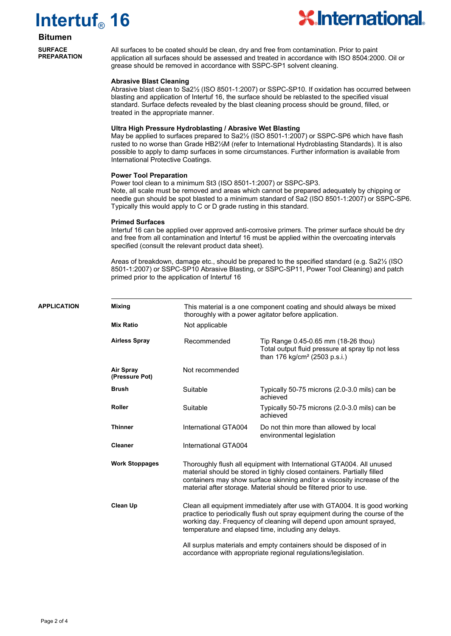# **Intertuf**® **16**



## **Bitumen**

**SURFACE PREPARATION**

All surfaces to be coated should be clean, dry and free from contamination. Prior to paint application all surfaces should be assessed and treated in accordance with ISO 8504:2000. Oil or grease should be removed in accordance with SSPC-SP1 solvent cleaning.

#### **Abrasive Blast Cleaning**

Abrasive blast clean to Sa2½ (ISO 8501-1:2007) or SSPC-SP10. If oxidation has occurred between blasting and application of Intertuf 16, the surface should be reblasted to the specified visual standard. Surface defects revealed by the blast cleaning process should be ground, filled, or treated in the appropriate manner.

#### **Ultra High Pressure Hydroblasting / Abrasive Wet Blasting**

May be applied to surfaces prepared to Sa2½ (ISO 8501-1:2007) or SSPC-SP6 which have flash rusted to no worse than Grade HB2½M (refer to International Hydroblasting Standards). It is also possible to apply to damp surfaces in some circumstances. Further information is available from International Protective Coatings.

#### **Power Tool Preparation**

Power tool clean to a minimum St3 (ISO 8501-1:2007) or SSPC-SP3. Note, all scale must be removed and areas which cannot be prepared adequately by chipping or needle gun should be spot blasted to a minimum standard of Sa2 (ISO 8501-1:2007) or SSPC-SP6. Typically this would apply to C or D grade rusting in this standard.

#### **Primed Surfaces**

Intertuf 16 can be applied over approved anti-corrosive primers. The primer surface should be dry and free from all contamination and Intertuf 16 must be applied within the overcoating intervals specified (consult the relevant product data sheet).

Areas of breakdown, damage etc., should be prepared to the specified standard (e.g. Sa2½ (ISO 8501-1:2007) or SSPC-SP10 Abrasive Blasting, or SSPC-SP11, Power Tool Cleaning) and patch primed prior to the application of Intertuf 16

| <b>APPLICATION</b> | <b>Mixing</b>                      | This material is a one component coating and should always be mixed<br>thoroughly with a power agitator before application.                                                                                                                                                            |                                                                                                                                                                                                                                                                                                 |  |
|--------------------|------------------------------------|----------------------------------------------------------------------------------------------------------------------------------------------------------------------------------------------------------------------------------------------------------------------------------------|-------------------------------------------------------------------------------------------------------------------------------------------------------------------------------------------------------------------------------------------------------------------------------------------------|--|
|                    | <b>Mix Ratio</b>                   | Not applicable                                                                                                                                                                                                                                                                         |                                                                                                                                                                                                                                                                                                 |  |
|                    | <b>Airless Spray</b>               | Recommended                                                                                                                                                                                                                                                                            | Tip Range 0.45-0.65 mm (18-26 thou)<br>Total output fluid pressure at spray tip not less<br>than 176 kg/cm <sup>2</sup> (2503 p.s.i.)                                                                                                                                                           |  |
|                    | <b>Air Spray</b><br>(Pressure Pot) | Not recommended                                                                                                                                                                                                                                                                        |                                                                                                                                                                                                                                                                                                 |  |
|                    | <b>Brush</b>                       | Suitable                                                                                                                                                                                                                                                                               | Typically 50-75 microns (2.0-3.0 mils) can be<br>achieved                                                                                                                                                                                                                                       |  |
|                    | <b>Roller</b>                      | Suitable                                                                                                                                                                                                                                                                               | Typically 50-75 microns (2.0-3.0 mils) can be<br>achieved                                                                                                                                                                                                                                       |  |
|                    | <b>Thinner</b>                     | International GTA004                                                                                                                                                                                                                                                                   | Do not thin more than allowed by local<br>environmental legislation                                                                                                                                                                                                                             |  |
|                    | <b>Cleaner</b>                     | International GTA004                                                                                                                                                                                                                                                                   |                                                                                                                                                                                                                                                                                                 |  |
|                    | <b>Work Stoppages</b>              |                                                                                                                                                                                                                                                                                        | Thoroughly flush all equipment with International GTA004. All unused<br>material should be stored in tighly closed containers. Partially filled<br>containers may show surface skinning and/or a viscosity increase of the<br>material after storage. Material should be filtered prior to use. |  |
|                    | Clean Up                           | Clean all equipment immediately after use with GTA004. It is good working<br>practice to periodically flush out spray equipment during the course of the<br>working day. Frequency of cleaning will depend upon amount sprayed,<br>temperature and elapsed time, including any delays. |                                                                                                                                                                                                                                                                                                 |  |
|                    |                                    |                                                                                                                                                                                                                                                                                        | All surplus materials and empty containers should be disposed of in<br>accordance with appropriate regional regulations/legislation.                                                                                                                                                            |  |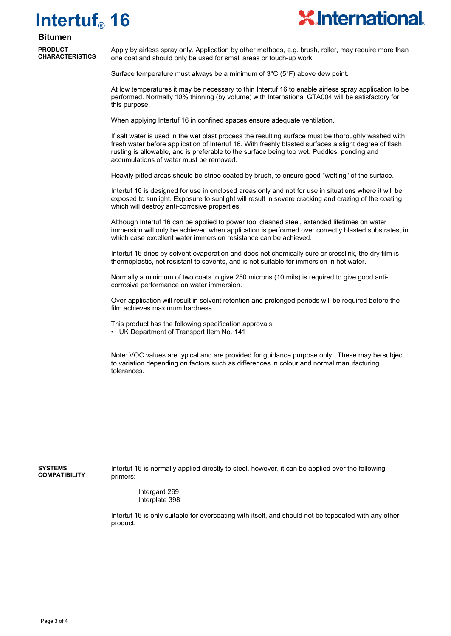# **Intertuf**® **16**



# **Bitumen**

**PRODUCT CHARACTERISTICS**

Apply by airless spray only. Application by other methods, e.g. brush, roller, may require more than one coat and should only be used for small areas or touch-up work.

Surface temperature must always be a minimum of 3°C (5°F) above dew point.

At low temperatures it may be necessary to thin Intertuf 16 to enable airless spray application to be performed. Normally 10% thinning (by volume) with International GTA004 will be satisfactory for this purpose.

When applying Intertuf 16 in confined spaces ensure adequate ventilation.

If salt water is used in the wet blast process the resulting surface must be thoroughly washed with fresh water before application of Intertuf 16. With freshly blasted surfaces a slight degree of flash rusting is allowable, and is preferable to the surface being too wet. Puddles, ponding and accumulations of water must be removed.

Heavily pitted areas should be stripe coated by brush, to ensure good "wetting" of the surface.

Intertuf 16 is designed for use in enclosed areas only and not for use in situations where it will be exposed to sunlight. Exposure to sunlight will result in severe cracking and crazing of the coating which will destroy anti-corrosive properties.

Although Intertuf 16 can be applied to power tool cleaned steel, extended lifetimes on water immersion will only be achieved when application is performed over correctly blasted substrates, in which case excellent water immersion resistance can be achieved.

Intertuf 16 dries by solvent evaporation and does not chemically cure or crosslink, the dry film is thermoplastic, not resistant to sovents, and is not suitable for immersion in hot water.

Normally a minimum of two coats to give 250 microns (10 mils) is required to give good anticorrosive performance on water immersion.

Over-application will result in solvent retention and prolonged periods will be required before the film achieves maximum hardness.

This product has the following specification approvals:

• UK Department of Transport Item No. 141

Note: VOC values are typical and are provided for guidance purpose only. These may be subject to variation depending on factors such as differences in colour and normal manufacturing tolerances.

**SYSTEMS COMPATIBILITY** Intertuf 16 is normally applied directly to steel, however, it can be applied over the following primers:

Intergard 269 Interplate 398

Intertuf 16 is only suitable for overcoating with itself, and should not be topcoated with any other product.